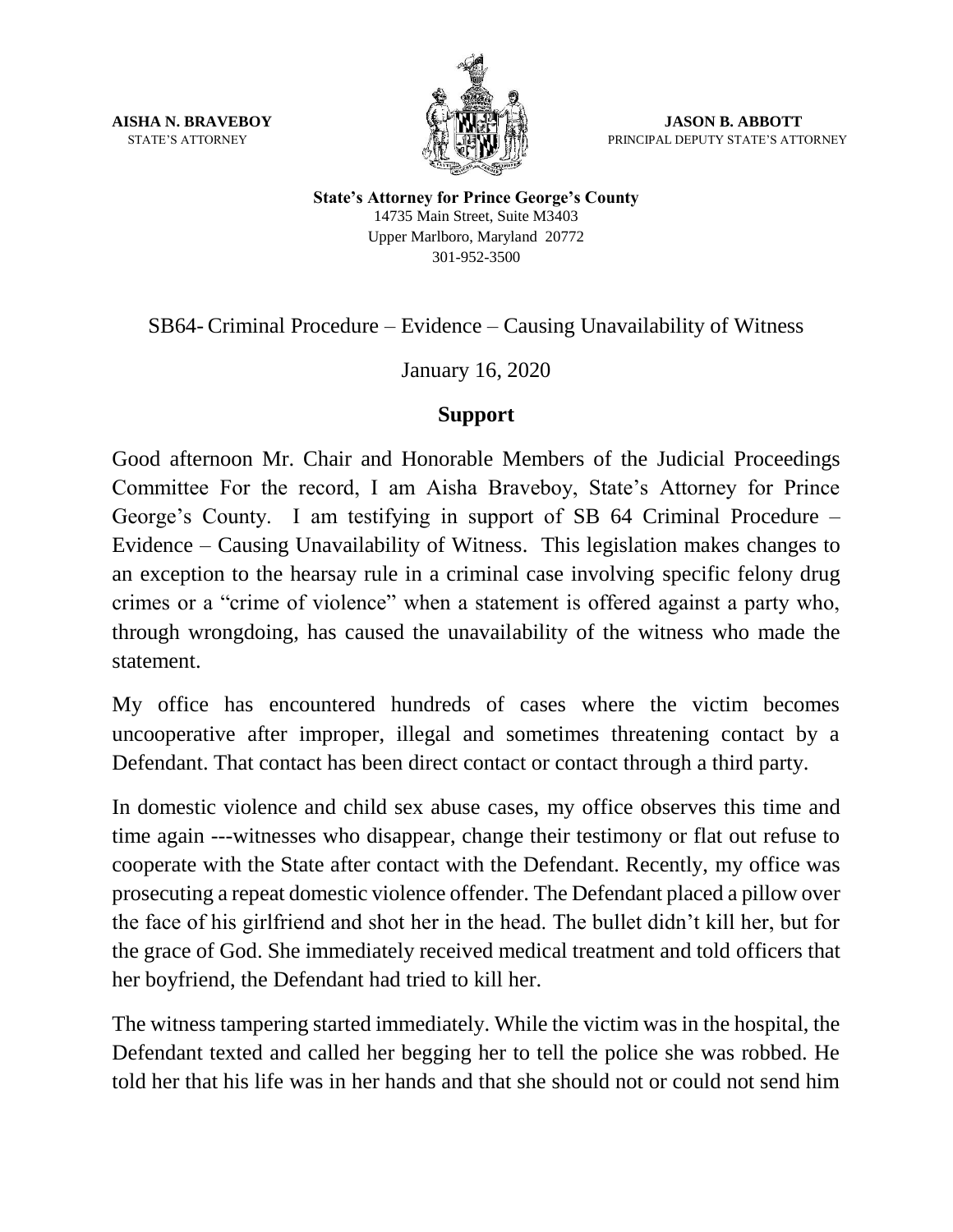

**AISHA N. BRAVEBOY JASON B. ABBOTT** STATE'S ATTORNEYPRINCIPAL DEPUTY STATE'S ATTORNEY

> **State's Attorney for Prince George's County** 14735 Main Street, Suite M3403 Upper Marlboro, Maryland 20772 301-952-3500

SB64- Criminal Procedure – Evidence – Causing Unavailability of Witness

January 16, 2020

## **Support**

Good afternoon Mr. Chair and Honorable Members of the Judicial Proceedings Committee For the record, I am Aisha Braveboy, State's Attorney for Prince George's County. I am testifying in support of SB 64 Criminal Procedure – Evidence – Causing Unavailability of Witness. This legislation makes changes to an exception to the hearsay rule in a criminal case involving specific felony drug crimes or a "crime of violence" when a statement is offered against a party who, through wrongdoing, has caused the unavailability of the witness who made the statement.

My office has encountered hundreds of cases where the victim becomes uncooperative after improper, illegal and sometimes threatening contact by a Defendant. That contact has been direct contact or contact through a third party.

In domestic violence and child sex abuse cases, my office observes this time and time again ---witnesses who disappear, change their testimony or flat out refuse to cooperate with the State after contact with the Defendant. Recently, my office was prosecuting a repeat domestic violence offender. The Defendant placed a pillow over the face of his girlfriend and shot her in the head. The bullet didn't kill her, but for the grace of God. She immediately received medical treatment and told officers that her boyfriend, the Defendant had tried to kill her.

The witness tampering started immediately. While the victim was in the hospital, the Defendant texted and called her begging her to tell the police she was robbed. He told her that his life was in her hands and that she should not or could not send him